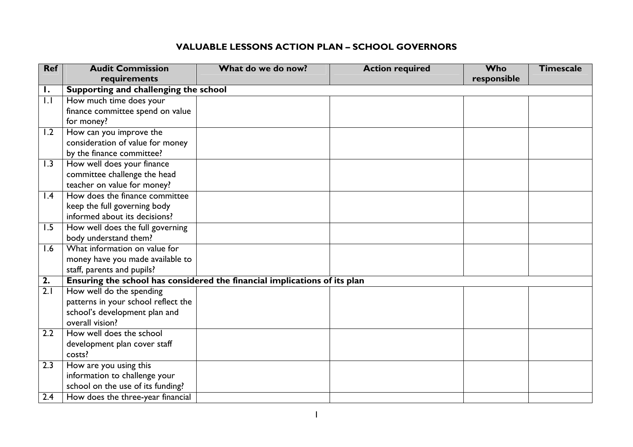## **VALUABLE LESSONS ACTION PLAN – SCHOOL GOVERNORS**

| <b>Ref</b>      | <b>Audit Commission</b>                                                   | What do we do now? | <b>Action required</b> | <b>Who</b>  | <b>Timescale</b> |  |
|-----------------|---------------------------------------------------------------------------|--------------------|------------------------|-------------|------------------|--|
|                 | requirements                                                              |                    |                        | responsible |                  |  |
| Ι.              | Supporting and challenging the school                                     |                    |                        |             |                  |  |
| 1.1             | How much time does your                                                   |                    |                        |             |                  |  |
|                 | finance committee spend on value                                          |                    |                        |             |                  |  |
|                 | for money?                                                                |                    |                        |             |                  |  |
| 1.2             | How can you improve the                                                   |                    |                        |             |                  |  |
|                 | consideration of value for money                                          |                    |                        |             |                  |  |
|                 | by the finance committee?                                                 |                    |                        |             |                  |  |
| 1.3             | How well does your finance                                                |                    |                        |             |                  |  |
|                 | committee challenge the head                                              |                    |                        |             |                  |  |
|                 | teacher on value for money?                                               |                    |                        |             |                  |  |
| $\mathsf{I}$ .4 | How does the finance committee                                            |                    |                        |             |                  |  |
|                 | keep the full governing body                                              |                    |                        |             |                  |  |
|                 | informed about its decisions?                                             |                    |                        |             |                  |  |
| 1.5             | How well does the full governing                                          |                    |                        |             |                  |  |
|                 | body understand them?                                                     |                    |                        |             |                  |  |
| 1.6             | What information on value for                                             |                    |                        |             |                  |  |
|                 | money have you made available to                                          |                    |                        |             |                  |  |
|                 | staff, parents and pupils?                                                |                    |                        |             |                  |  |
| 2.              | Ensuring the school has considered the financial implications of its plan |                    |                        |             |                  |  |
| 2.1             | How well do the spending                                                  |                    |                        |             |                  |  |
|                 | patterns in your school reflect the                                       |                    |                        |             |                  |  |
|                 | school's development plan and                                             |                    |                        |             |                  |  |
|                 | overall vision?                                                           |                    |                        |             |                  |  |
| 2.2             | How well does the school                                                  |                    |                        |             |                  |  |
|                 | development plan cover staff                                              |                    |                        |             |                  |  |
|                 | costs?                                                                    |                    |                        |             |                  |  |
| 2.3             | How are you using this                                                    |                    |                        |             |                  |  |
|                 | information to challenge your                                             |                    |                        |             |                  |  |
|                 | school on the use of its funding?                                         |                    |                        |             |                  |  |
| 2.4             | How does the three-year financial                                         |                    |                        |             |                  |  |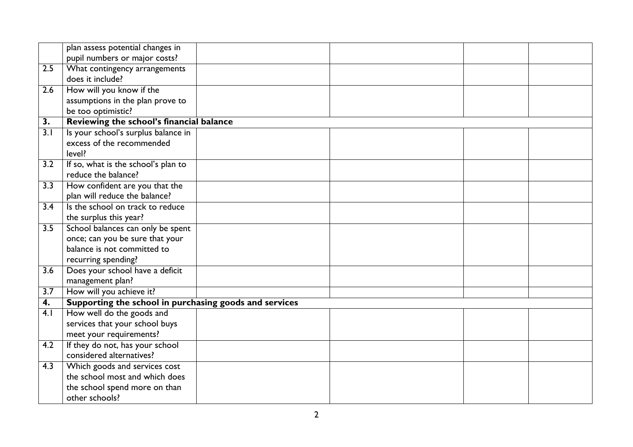|                  | plan assess potential changes in                       |  |  |
|------------------|--------------------------------------------------------|--|--|
|                  | pupil numbers or major costs?                          |  |  |
| 2.5              | What contingency arrangements                          |  |  |
|                  | does it include?                                       |  |  |
| 2.6              | How will you know if the                               |  |  |
|                  | assumptions in the plan prove to                       |  |  |
|                  | be too optimistic?                                     |  |  |
| 3.               | Reviewing the school's financial balance               |  |  |
| $\overline{3.1}$ | Is your school's surplus balance in                    |  |  |
|                  | excess of the recommended                              |  |  |
|                  | level?                                                 |  |  |
| 3.2              | If so, what is the school's plan to                    |  |  |
|                  | reduce the balance?                                    |  |  |
| $\overline{3.3}$ | How confident are you that the                         |  |  |
|                  | plan will reduce the balance?                          |  |  |
| 3.4              | Is the school on track to reduce                       |  |  |
|                  | the surplus this year?                                 |  |  |
| 3.5              | School balances can only be spent                      |  |  |
|                  | once; can you be sure that your                        |  |  |
|                  | balance is not committed to                            |  |  |
|                  | recurring spending?                                    |  |  |
| 3.6              | Does your school have a deficit                        |  |  |
|                  | management plan?                                       |  |  |
| $\overline{3.7}$ | How will you achieve it?                               |  |  |
| 4.               | Supporting the school in purchasing goods and services |  |  |
| 4.1              | How well do the goods and                              |  |  |
|                  | services that your school buys                         |  |  |
|                  | meet your requirements?                                |  |  |
| 4.2              | If they do not, has your school                        |  |  |
|                  | considered alternatives?                               |  |  |
| 4.3              | Which goods and services cost                          |  |  |
|                  | the school most and which does                         |  |  |
|                  | the school spend more on than                          |  |  |
|                  | other schools?                                         |  |  |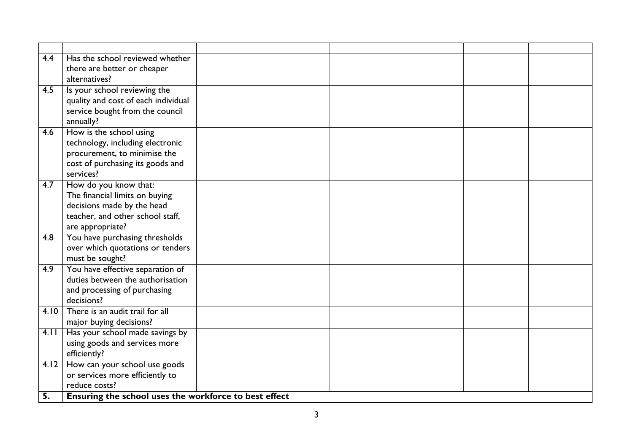| 4.4              | Has the school reviewed whether                            |  |  |
|------------------|------------------------------------------------------------|--|--|
|                  | there are better or cheaper                                |  |  |
|                  | alternatives?                                              |  |  |
| 4.5              | Is your school reviewing the                               |  |  |
|                  | quality and cost of each individual                        |  |  |
|                  | service bought from the council                            |  |  |
|                  | annually?                                                  |  |  |
| 4.6              | How is the school using                                    |  |  |
|                  | technology, including electronic                           |  |  |
|                  | procurement, to minimise the                               |  |  |
|                  | cost of purchasing its goods and<br>services?              |  |  |
| 4.7              | How do you know that:                                      |  |  |
|                  | The financial limits on buying                             |  |  |
|                  | decisions made by the head                                 |  |  |
|                  | teacher, and other school staff,                           |  |  |
|                  | are appropriate?                                           |  |  |
| 4.8              | You have purchasing thresholds                             |  |  |
|                  | over which quotations or tenders                           |  |  |
|                  | must be sought?                                            |  |  |
| $\overline{4.9}$ | You have effective separation of                           |  |  |
|                  | duties between the authorisation                           |  |  |
|                  | and processing of purchasing                               |  |  |
|                  | decisions?<br>There is an audit trail for all              |  |  |
| 4.10             |                                                            |  |  |
| 4.11             | major buying decisions?<br>Has your school made savings by |  |  |
|                  | using goods and services more                              |  |  |
|                  | efficiently?                                               |  |  |
| 4.12             | How can your school use goods                              |  |  |
|                  | or services more efficiently to                            |  |  |
|                  | reduce costs?                                              |  |  |
| 5.               | Ensuring the school uses the workforce to best effect      |  |  |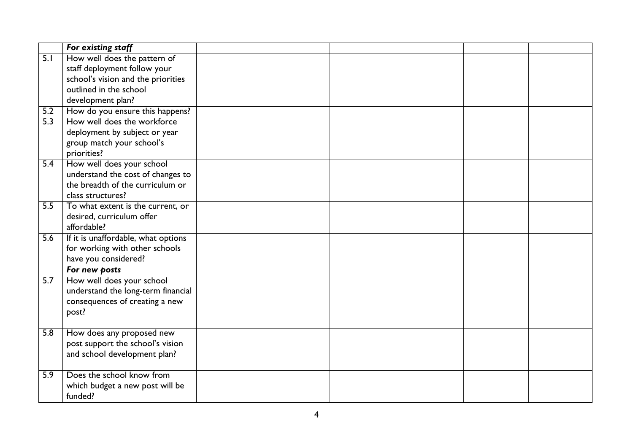|                  | For existing staff                  |  |  |
|------------------|-------------------------------------|--|--|
| $\overline{5.1}$ | How well does the pattern of        |  |  |
|                  | staff deployment follow your        |  |  |
|                  | school's vision and the priorities  |  |  |
|                  | outlined in the school              |  |  |
|                  | development plan?                   |  |  |
| 5.2              | How do you ensure this happens?     |  |  |
| $\overline{5.3}$ | How well does the workforce         |  |  |
|                  | deployment by subject or year       |  |  |
|                  | group match your school's           |  |  |
|                  | priorities?                         |  |  |
| 5.4              | How well does your school           |  |  |
|                  | understand the cost of changes to   |  |  |
|                  | the breadth of the curriculum or    |  |  |
|                  | class structures?                   |  |  |
| 5.5              | To what extent is the current, or   |  |  |
|                  | desired, curriculum offer           |  |  |
|                  | affordable?                         |  |  |
| 5.6              | If it is unaffordable, what options |  |  |
|                  | for working with other schools      |  |  |
|                  | have you considered?                |  |  |
|                  | For new posts                       |  |  |
| $\overline{5.7}$ | How well does your school           |  |  |
|                  | understand the long-term financial  |  |  |
|                  | consequences of creating a new      |  |  |
|                  | post?                               |  |  |
|                  |                                     |  |  |
| 5.8              | How does any proposed new           |  |  |
|                  | post support the school's vision    |  |  |
|                  | and school development plan?        |  |  |
|                  |                                     |  |  |
| $\overline{5.9}$ | Does the school know from           |  |  |
|                  | which budget a new post will be     |  |  |
|                  | funded?                             |  |  |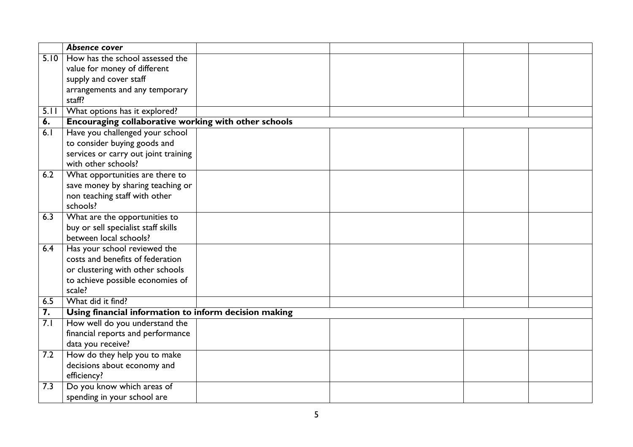|                  | Absence cover                                         |  |  |  |  |
|------------------|-------------------------------------------------------|--|--|--|--|
| 5.10             | How has the school assessed the                       |  |  |  |  |
|                  | value for money of different                          |  |  |  |  |
|                  | supply and cover staff                                |  |  |  |  |
|                  | arrangements and any temporary                        |  |  |  |  |
|                  | staff?                                                |  |  |  |  |
| 5.11             | What options has it explored?                         |  |  |  |  |
| $\overline{6}$ . | Encouraging collaborative working with other schools  |  |  |  |  |
| 6.1              | Have you challenged your school                       |  |  |  |  |
|                  | to consider buying goods and                          |  |  |  |  |
|                  | services or carry out joint training                  |  |  |  |  |
|                  | with other schools?                                   |  |  |  |  |
| 6.2              | What opportunities are there to                       |  |  |  |  |
|                  | save money by sharing teaching or                     |  |  |  |  |
|                  | non teaching staff with other                         |  |  |  |  |
|                  | schools?                                              |  |  |  |  |
| 6.3              | What are the opportunities to                         |  |  |  |  |
|                  | buy or sell specialist staff skills                   |  |  |  |  |
|                  | between local schools?                                |  |  |  |  |
| 6.4              | Has your school reviewed the                          |  |  |  |  |
|                  | costs and benefits of federation                      |  |  |  |  |
|                  | or clustering with other schools                      |  |  |  |  |
|                  | to achieve possible economies of                      |  |  |  |  |
|                  | scale?                                                |  |  |  |  |
| 6.5              | What did it find?                                     |  |  |  |  |
| 7.               | Using financial information to inform decision making |  |  |  |  |
| 7.1              | How well do you understand the                        |  |  |  |  |
|                  | financial reports and performance                     |  |  |  |  |
|                  | data you receive?                                     |  |  |  |  |
| 7.2              | How do they help you to make                          |  |  |  |  |
|                  | decisions about economy and                           |  |  |  |  |
|                  | efficiency?                                           |  |  |  |  |
| 7.3              | Do you know which areas of                            |  |  |  |  |
|                  | spending in your school are                           |  |  |  |  |